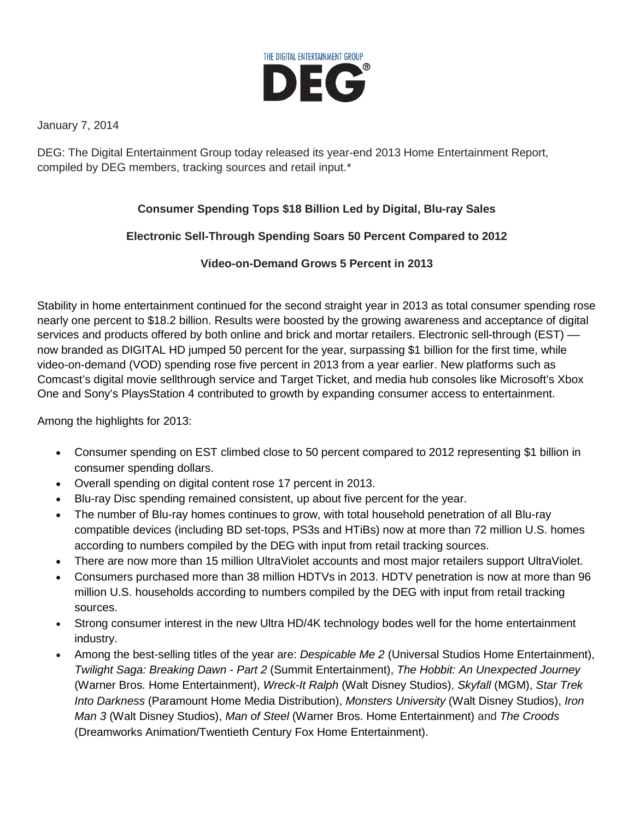

January 7, 2014

DEG: The Digital Entertainment Group today released its year-end 2013 Home Entertainment Report, compiled by DEG members, tracking sources and retail input.\*

## **Consumer Spending Tops \$18 Billion Led by Digital, Blu-ray Sales**

## **Electronic Sell-Through Spending Soars 50 Percent Compared to 2012**

## **Video-on-Demand Grows 5 Percent in 2013**

Stability in home entertainment continued for the second straight year in 2013 as total consumer spending rose nearly one percent to \$18.2 billion. Results were boosted by the growing awareness and acceptance of digital services and products offered by both online and brick and mortar retailers. Electronic sell-through (EST) -now branded as DIGITAL HD jumped 50 percent for the year, surpassing \$1 billion for the first time, while video-on-demand (VOD) spending rose five percent in 2013 from a year earlier. New platforms such as Comcast's digital movie sellthrough service and Target Ticket, and media hub consoles like Microsoft's Xbox One and Sony's PlaysStation 4 contributed to growth by expanding consumer access to entertainment.

Among the highlights for 2013:

- Consumer spending on EST climbed close to 50 percent compared to 2012 representing \$1 billion in consumer spending dollars.
- Overall spending on digital content rose 17 percent in 2013.
- Blu-ray Disc spending remained consistent, up about five percent for the year.
- The number of Blu-ray homes continues to grow, with total household penetration of all Blu-ray compatible devices (including BD set-tops, PS3s and HTiBs) now at more than 72 million U.S. homes according to numbers compiled by the DEG with input from retail tracking sources.
- There are now more than 15 million UltraViolet accounts and most major retailers support UltraViolet.
- Consumers purchased more than 38 million HDTVs in 2013. HDTV penetration is now at more than 96 million U.S. households according to numbers compiled by the DEG with input from retail tracking sources.
- Strong consumer interest in the new Ultra HD/4K technology bodes well for the home entertainment industry.
- Among the best-selling titles of the year are: *Despicable Me 2* (Universal Studios Home Entertainment), *Twilight Saga: Breaking Dawn - Part 2* (Summit Entertainment), *The Hobbit: An Unexpected Journey*  (Warner Bros. Home Entertainment), *Wreck-It Ralph* (Walt Disney Studios), *Skyfall* (MGM), *Star Trek Into Darkness* (Paramount Home Media Distribution), *Monsters University* (Walt Disney Studios), *Iron Man 3* (Walt Disney Studios), *Man of Steel* (Warner Bros. Home Entertainment) and *The Croods*  (Dreamworks Animation/Twentieth Century Fox Home Entertainment).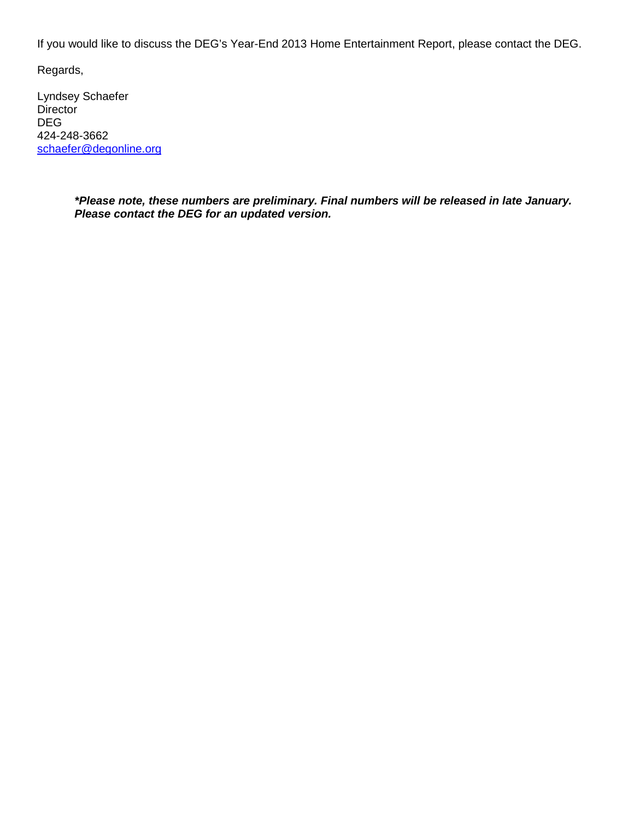If you would like to discuss the DEG's Year-End 2013 Home Entertainment Report, please contact the DEG.

Regards,

Lyndsey Schaefer **Director** DEG 424-248-3662 [schaefer@degonline.org](mailto:schaefer@degonline.org)

> *\*Please note, these numbers are preliminary. Final numbers will be released in late January. Please contact the DEG for an updated version.*